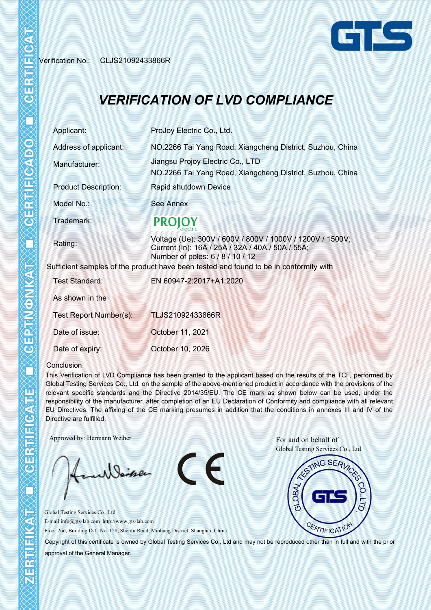Verification No.: CLJS21092433866R



## *VERIFICATION OF LVD COMPLIANCE*

| Applicant:                  | ProJoy Electric Co., Ltd.                                                                                                                         |  |  |  |  |  |
|-----------------------------|---------------------------------------------------------------------------------------------------------------------------------------------------|--|--|--|--|--|
| Address of applicant:       | NO.2266 Tai Yang Road, Xiangcheng District, Suzhou, China                                                                                         |  |  |  |  |  |
| Manufacturer:               | Jiangsu Projoy Electric Co., LTD<br>NO.2266 Tai Yang Road, Xiangcheng District, Suzhou, China                                                     |  |  |  |  |  |
| <b>Product Description:</b> | Rapid shutdown Device                                                                                                                             |  |  |  |  |  |
| Model No.:                  | <b>See Annex</b>                                                                                                                                  |  |  |  |  |  |
| Trademark:                  | <b>PROJOY</b>                                                                                                                                     |  |  |  |  |  |
| Rating:                     | Voltage (Ue): 300V / 600V / 800V / 1000V / 1200V / 1500V;<br>Current (In): 16A / 25A / 32A / 40A / 50A / 55A;<br>Number of poles: 6 / 8 / 10 / 12 |  |  |  |  |  |
|                             | Sufficient samples of the product have been tested and found to be in conformity with                                                             |  |  |  |  |  |
| Test Standard:              | EN 60947-2:2017+A1:2020                                                                                                                           |  |  |  |  |  |
| As shown in the             |                                                                                                                                                   |  |  |  |  |  |
| Test Report Number(s):      | TLJS21092433866R                                                                                                                                  |  |  |  |  |  |
| Date of issue:              | October 11, 2021                                                                                                                                  |  |  |  |  |  |
| Date of expiry:             | October 10, 2026                                                                                                                                  |  |  |  |  |  |

## Conclusion

This Verification of LVD Compliance has been granted to the applicant based on the results of the TCF, performed by Global Testing Services Co., Ltd. on the sample of the above-mentioned product in accordance with the provisions of the relevant specific standards and the Directive 2014/35/EU. The CE mark as shown below can be used, under the responsibility of the manufacturer, after completion of an EU Declaration of Conformity and compliance with all relevant EU Directives. The affixing of the CE marking presumes in addition that the conditions in annexes III and IV of the Directive are fulfilled.

CE

Approved by: Hermann Weiher For and on behalf of

willeiser

Global Testing Services Co., Ltd E-mail:info@gts-lab.com http://www.gts-lab.com Floor 2nd, Building D-1, No. 128, Shenfu Road, Minhang District, Shanghai, China.



Copyright of this certificate is owned by Global Testing Services Co., Ltd and may not be reproduced other than in full and with the prior approval of the General Manager.